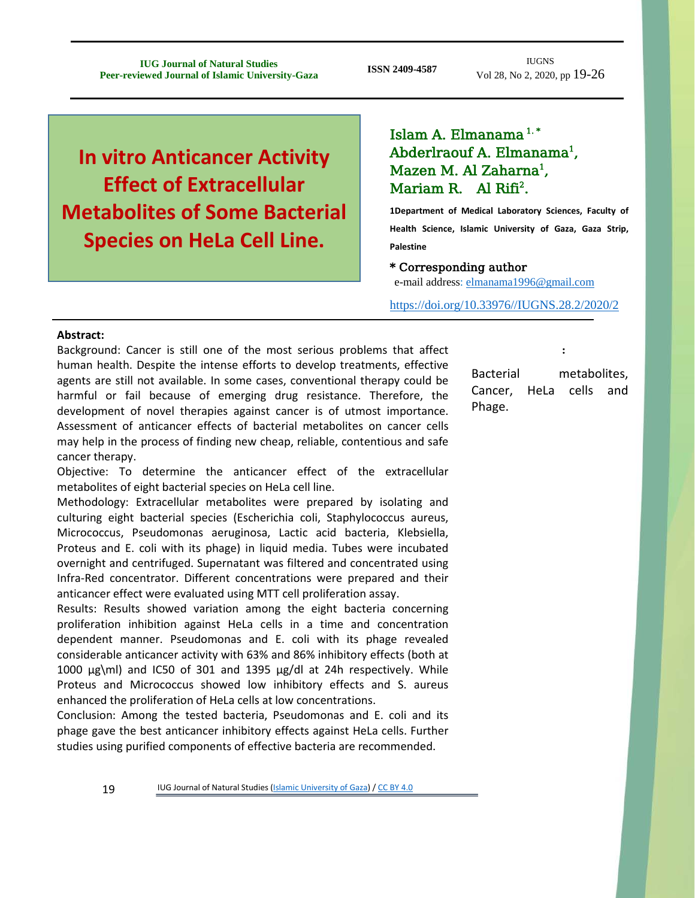IUGNS Vol 28, No 2, 2020, pp 19-26

# **In vitro Anticancer Activity Effect of Extracellular Metabolites of Some Bacterial Species on HeLa Cell Line.**

# Islam A. Elmanama $1.$ \* Abderlraouf A. Elmanama<sup>1</sup>, Mazen M. Al Zaharna<sup>1</sup>, Mariam R. Al Rifi<sup>2</sup>.

**1Department of Medical Laboratory Sciences, Faculty of Health Science, Islamic University of Gaza, Gaza Strip, Palestine**

### \* Corresponding author

e-mail address: [elmanama1996@gmail.com](mailto:elmanama1996@gmail.com)

[https://doi.org/10.33976//IUGNS.28.2/2020/2](https://doi.org/10.33976/IUGNS.28.2/2020/2)

Keywords:

#### **Abstract:**

Background: Cancer is still one of the most serious problems that affect human health. Despite the intense efforts to develop treatments, effective agents are still not available. In some cases, conventional therapy could be harmful or fail because of emerging drug resistance. Therefore, the development of novel therapies against cancer is of utmost importance. Assessment of anticancer effects of bacterial metabolites on cancer cells may help in the process of finding new cheap, reliable, contentious and safe cancer therapy.

Objective: To determine the anticancer effect of the extracellular metabolites of eight bacterial species on HeLa cell line.

Methodology: Extracellular metabolites were prepared by isolating and culturing eight bacterial species (Escherichia coli, Staphylococcus aureus, Micrococcus, Pseudomonas aeruginosa, Lactic acid bacteria, Klebsiella, Proteus and E. coli with its phage) in liquid media. Tubes were incubated overnight and centrifuged. Supernatant was filtered and concentrated using Infra-Red concentrator. Different concentrations were prepared and their anticancer effect were evaluated using MTT cell proliferation assay.

Results: Results showed variation among the eight bacteria concerning proliferation inhibition against HeLa cells in a time and concentration dependent manner. Pseudomonas and E. coli with its phage revealed considerable anticancer activity with 63% and 86% inhibitory effects (both at 1000  $\mu$ g\ml) and IC50 of 301 and 1395  $\mu$ g/dl at 24h respectively. While Proteus and Micrococcus showed low inhibitory effects and S. aureus enhanced the proliferation of HeLa cells at low concentrations.

Conclusion: Among the tested bacteria, Pseudomonas and E. coli and its phage gave the best anticancer inhibitory effects against HeLa cells. Further studies using purified components of effective bacteria are recommended.

Bacterial metabolites, Cancer, HeLa cells and Phage.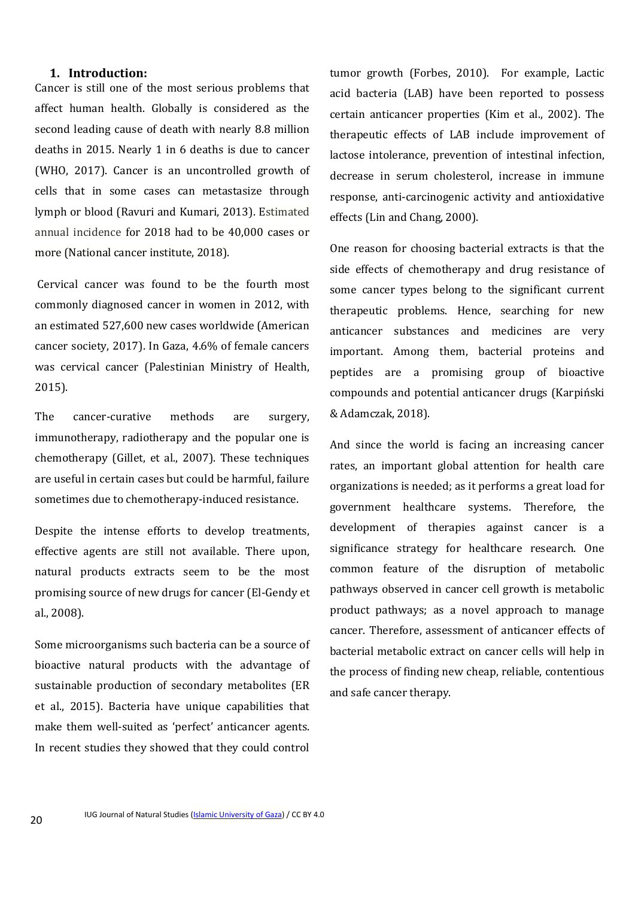#### **1. Introduction:**

Cancer is still one of the most serious problems that affect human health. Globally is considered as the second leading cause of death with nearly 8.8 million deaths in 2015. Nearly 1 in 6 deaths is due to cancer (WHO, 2017). Cancer is an uncontrolled growth of cells that in some cases can metastasize through lymph or blood (Ravuri and Kumari, 2013). Estimated annual incidence for 2018 had to be 40,000 cases or more (National cancer institute, 2018).

Cervical cancer was found to be the fourth most commonly diagnosed cancer in women in 2012, with an estimated 527,600 new cases worldwide (American cancer society, 2017). In Gaza, 4.6% of female cancers was cervical cancer (Palestinian Ministry of Health, 2015).

The cancer-curative methods are surgery, immunotherapy, radiotherapy and the popular one is chemotherapy (Gillet, et al., 2007). These techniques are useful in certain cases but could be harmful, failure sometimes due to chemotherapy-induced resistance.

Despite the intense efforts to develop treatments, effective agents are still not available. There upon, natural products extracts seem to be the most promising source of new drugs for cancer (El-Gendy et al., 2008).

Some microorganisms such bacteria can be a source of bioactive natural products with the advantage of sustainable production of secondary metabolites (ER et al., 2015). Bacteria have unique capabilities that make them well-suited as 'perfect' anticancer agents. In recent studies they showed that they could control

tumor growth (Forbes, 2010). For example, Lactic acid bacteria (LAB) have been reported to possess certain anticancer properties (Kim et al., 2002). The therapeutic effects of LAB include improvement of lactose intolerance, prevention of intestinal infection, decrease in serum cholesterol, increase in immune response, anti-carcinogenic activity and antioxidative effects (Lin and Chang, 2000).

One reason for choosing bacterial extracts is that the side effects of chemotherapy and drug resistance of some cancer types belong to the significant current therapeutic problems. Hence, searching for new anticancer substances and medicines are very important. Among them, bacterial proteins and peptides are a promising group of bioactive compounds and potential anticancer drugs (Karpiński & Adamczak, 2018).

And since the world is facing an increasing cancer rates, an important global attention for health care organizations is needed; as it performs a great load for government healthcare systems. Therefore, the development of therapies against cancer is a significance strategy for healthcare research. One common feature of the disruption of metabolic pathways observed in cancer cell growth is metabolic product pathways; as a novel approach to manage cancer. Therefore, assessment of anticancer effects of bacterial metabolic extract on cancer cells will help in the process of finding new cheap, reliable, contentious and safe cancer therapy.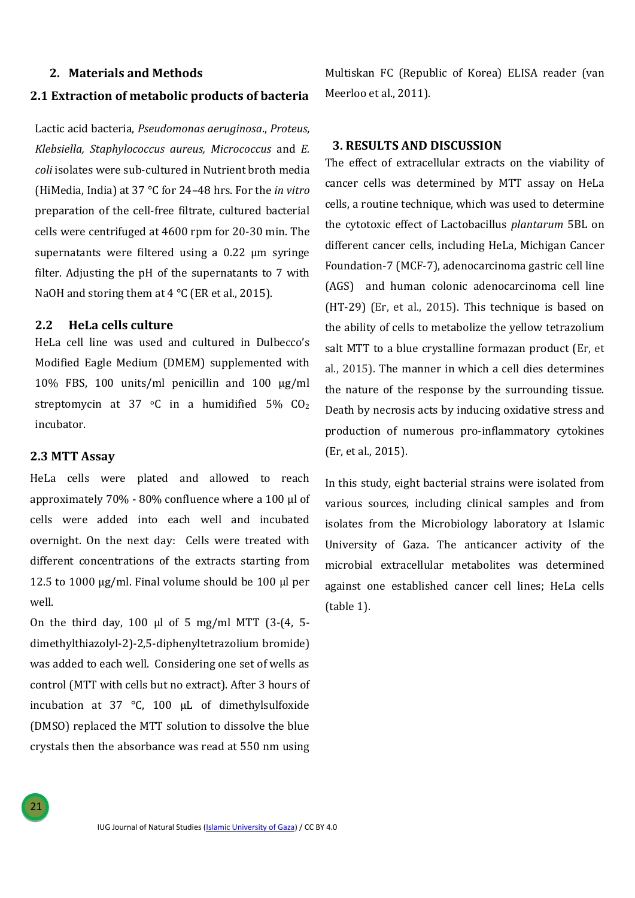#### **2. Materials and Methods**

#### **2.1 Extraction of metabolic products of bacteria**

Lactic acid bacteria, *Pseudomonas aeruginosa*., *Proteus, Klebsiella, Staphylococcus aureus, Micrococcus* and *E. coli* isolates were sub-cultured in Nutrient broth media (HiMedia, India) at 37 °C for 24–48 hrs. For the *in vitro* preparation of the cell-free filtrate, cultured bacterial cells were centrifuged at 4600 rpm for 20-30 min. The supernatants were filtered using a 0.22 µm syringe filter. Adjusting the pH of the supernatants to 7 with NaOH and storing them at  $4^{\circ}$ C (ER et al., 2015).

### **2.2 HeLa cells culture**

HeLa cell line was used and cultured in Dulbecco's Modified Eagle Medium (DMEM) supplemented with 10% FBS, 100 units/ml penicillin and 100 µg/ml streptomycin at 37  $\circ$ C in a humidified 5% CO<sub>2</sub> incubator.

#### **2.3 MTT Assay**

HeLa cells were plated and allowed to reach approximately 70% - 80% confluence where a 100 µl of cells were added into each well and incubated overnight. On the next day: Cells were treated with different concentrations of the extracts starting from 12.5 to 1000  $\mu$ g/ml. Final volume should be 100  $\mu$ l per well.

On the third day, 100  $\mu$ l of 5 mg/ml MTT (3-(4, 5dimethylthiazolyl-2)-2,5-diphenyltetrazolium bromide) was added to each well. Considering one set of wells as control (MTT with cells but no extract). After 3 hours of incubation at 37 °C, 100 μL of dimethylsulfoxide (DMSO) replaced the MTT solution to dissolve the blue crystals then the absorbance was read at 550 nm using Multiskan FC (Republic of Korea) ELISA reader (van Meerloo et al., 2011).

## **3. RESULTS AND DISCUSSION**

The effect of extracellular extracts on the viability of cancer cells was determined by MTT assay on HeLa cells, a routine technique, which was used to determine the cytotoxic effect of Lactobacillus *plantarum* 5BL on different cancer cells, including HeLa, Michigan Cancer Foundation-7 (MCF-7), adenocarcinoma gastric cell line (AGS) and human colonic adenocarcinoma cell line (HT-29) (Er, et al., 2015). This technique is based on the ability of cells to metabolize the yellow tetrazolium salt MTT to a blue crystalline formazan product (Er, et al., 2015). The manner in which a cell dies determines the nature of the response by the surrounding tissue. Death by necrosis acts by inducing oxidative stress and production of numerous pro-inflammatory cytokines (Er, et al., 2015).

In this study, eight bacterial strains were isolated from various sources, including clinical samples and from isolates from the Microbiology laboratory at Islamic University of Gaza. The anticancer activity of the microbial extracellular metabolites was determined against one established cancer cell lines; HeLa cells (table 1).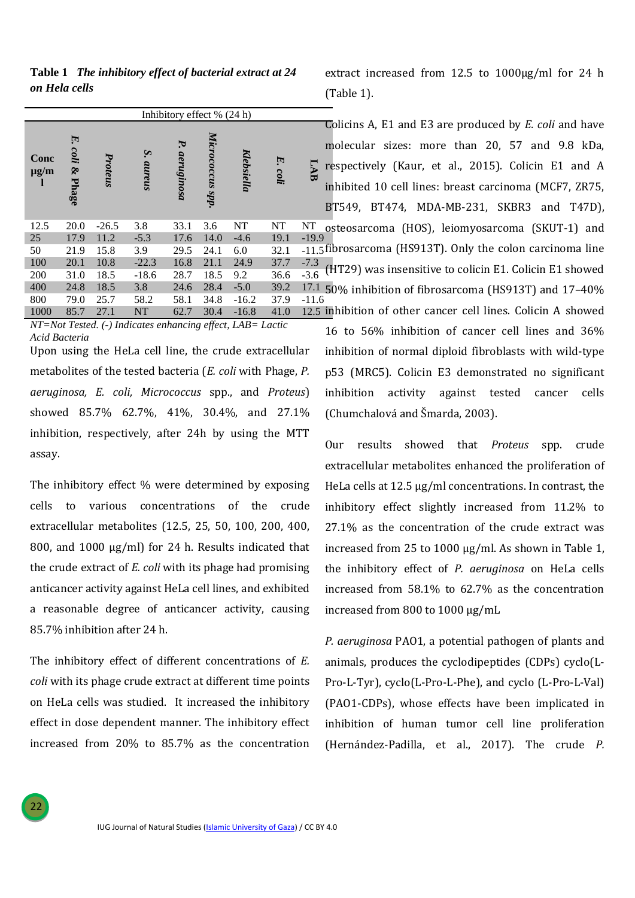**Table 1** *The inhibitory effect of bacterial extract at 24 on Hela cells*

|                        | Inhibitory effect % (24 h) |         |                        |                  |                  |            |            |         |
|------------------------|----------------------------|---------|------------------------|------------------|------------------|------------|------------|---------|
| Conc<br>$\mu$ g/m<br>1 | E.<br>coli<br>S.<br>Phage  | Proteus | $\mathbf{S}$<br>aureus | Ъ.<br>aeruginosa | Micrococcus spp. | Klebsiella | E.<br>coli |         |
| 12.5                   | 20.0                       | $-26.5$ | 3.8                    | 33.1             | 3.6              | NT         | NT         | NT      |
| 25                     | 17.9                       | 11.2    | $-5.3$                 | 17.6             | 14.0             | $-4.6$     | 19.1       | $-19.9$ |
| 50                     | 21.9                       | 15.8    | 3.9                    | 29.5             | 24.1             | 6.0        | 32.1       | $-11.5$ |
| 100                    | 20.1                       | 10.8    | $-22.3$                | 16.8             | 21.1             | 24.9       | 37.7       | $-7.3$  |
| 200                    | 31.0                       | 18.5    | $-18.6$                | 28.7             | 18.5             | 9.2        | 36.6       | $-3.6$  |
| 400                    | 24.8                       | 18.5    | 3.8                    | 24.6             | 28.4             | $-5.0$     | 39.2       | 17.1    |
| 800                    | 79.0                       | 25.7    | 58.2                   | 58.1             | 34.8             | $-16.2$    | 37.9       | $-11.6$ |
| 1000                   | 85.7                       | 27.1    | <b>NT</b>              | 62.7             | 30.4             | $-16.8$    | 41.0       | 12.5    |

*NT=Not Tested. (-) Indicates enhancing effect, LAB= Lactic Acid Bacteria*

Upon using the HeLa cell line, the crude extracellular metabolites of the tested bacteria (*E. coli* with Phage, *P. aeruginosa, E. coli, Micrococcus* spp., and *Proteus*) showed 85.7% 62.7%, 41%, 30.4%, and 27.1% inhibition, respectively, after 24h by using the MTT assay.

The inhibitory effect % were determined by exposing cells to various concentrations of the crude extracellular metabolites (12.5, 25, 50, 100, 200, 400, 800, and 1000 μg/ml) for 24 h. Results indicated that the crude extract of *E. coli* with its phage had promising anticancer activity against HeLa cell lines, and exhibited a reasonable degree of anticancer activity, causing 85.7% inhibition after 24 h.

The inhibitory effect of different concentrations of *E. coli* with its phage crude extract at different time points on HeLa cells was studied. It increased the inhibitory effect in dose dependent manner. The inhibitory effect increased from 20% to 85.7% as the concentration extract increased from 12.5 to 1000μg/ml for 24 h (Table 1).

Colicins A, E1 and E3 are produced by *E. coli* and have molecular sizes: more than 20, 57 and 9.8 kDa, respectively (Kaur, et al., 2015). Colicin E1 and A inhibited 10 cell lines: breast carcinoma (MCF7, ZR75, BT549, BT474, MDA-MB-231, SKBR3 and T47D), osteosarcoma (HOS), leiomyosarcoma (SKUT-1) and fibrosarcoma (HS913T). Only the colon carcinoma line (HT29) was insensitive to colicin E1. Colicin E1 showed 50% inhibition of fibrosarcoma (HS913T) and 17–40% inhibition of other cancer cell lines. Colicin A showed

16 to 56% inhibition of cancer cell lines and 36% inhibition of normal diploid fibroblasts with wild-type p53 (MRC5). Colicin E3 demonstrated no significant inhibition activity against tested cancer cells (Chumchalová and Šmarda, 2003).

Our results showed that *Proteus* spp. crude extracellular metabolites enhanced the proliferation of HeLa cells at 12.5 μg/ml concentrations. In contrast, the inhibitory effect slightly increased from 11.2% to 27.1% as the concentration of the crude extract was increased from 25 to 1000 μg/ml. As shown in Table 1, the inhibitory effect of *P. aeruginosa* on HeLa cells increased from 58.1% to 62.7% as the concentration increased from 800 to 1000 μg/mL

*P. aeruginosa* PAO1, a potential pathogen of plants and animals, produces the cyclodipeptides (CDPs) cyclo(L-Pro-L-Tyr), cyclo(L-Pro-L-Phe), and cyclo (L-Pro-L-Val) (PAO1-CDPs), whose effects have been implicated in inhibition of human tumor cell line proliferation (Hernández-Padilla, et al., 2017). The crude *P.*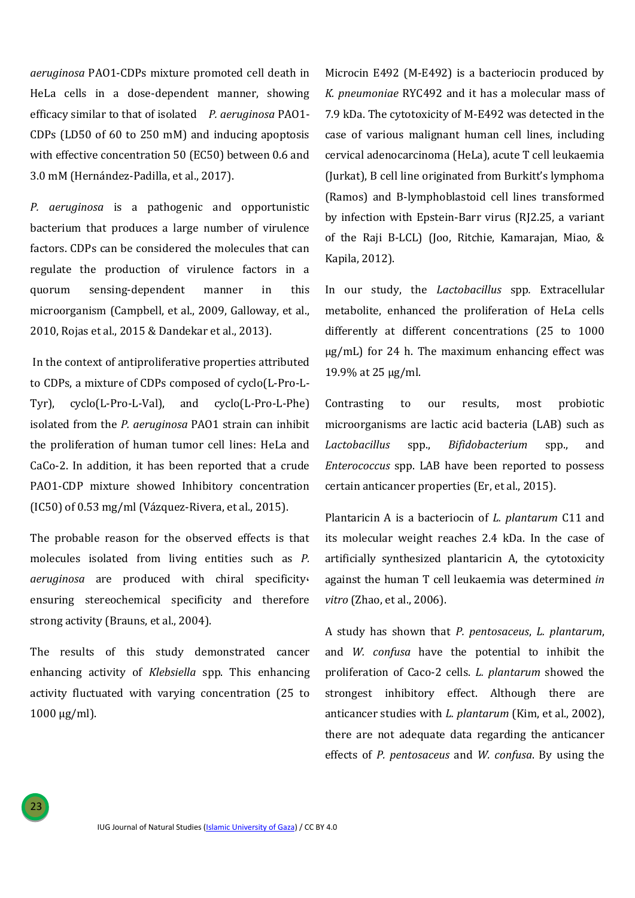*aeruginosa* PAO1-CDPs mixture promoted cell death in HeLa cells in a dose-dependent manner, showing efficacy similar to that of isolated *P. aeruginosa* PAO1- CDPs (LD50 of 60 to 250 mM) and inducing apoptosis with effective concentration 50 (EC50) between 0.6 and 3.0 mM (Hernández-Padilla, et al., 2017).

*P. aeruginosa* is a pathogenic and opportunistic bacterium that produces a large number of virulence factors. CDPs can be considered the molecules that can regulate the production of virulence factors in a quorum sensing-dependent manner in this microorganism (Campbell, et al., 2009, Galloway, et al., 2010, Rojas et al., 2015 & Dandekar et al., 2013).

In the context of antiproliferative properties attributed to CDPs, a mixture of CDPs composed of cyclo(L-Pro-L-Tyr), cyclo(L-Pro-L-Val), and cyclo(L-Pro-L-Phe) isolated from the *P. aeruginosa* PAO1 strain can inhibit the proliferation of human tumor cell lines: HeLa and CaCo-2. In addition, it has been reported that a crude PAO1-CDP mixture showed Inhibitory concentration (IC50) of 0.53 mg/ml (Vázquez-Rivera, et al., 2015).

The probable reason for the observed effects is that molecules isolated from living entities such as *P. aeruginosa* are produced with chiral specificity, ensuring stereochemical specificity and therefore strong activity (Brauns, et al., 2004).

The results of this study demonstrated cancer enhancing activity of *Klebsiella* spp. This enhancing activity fluctuated with varying concentration (25 to  $1000 \mu g/ml$ ).

23

Microcin E492 (M-E492) is a bacteriocin produced by *K. pneumoniae* RYC492 and it has a molecular mass of 7.9 kDa. The cytotoxicity of M-E492 was detected in the case of various malignant human cell lines, including cervical adenocarcinoma (HeLa), acute T cell leukaemia (Jurkat), B cell line originated from Burkitt's lymphoma (Ramos) and B-lymphoblastoid cell lines transformed by infection with Epstein-Barr virus (RJ2.25, a variant of the Raji B-LCL) (Joo, Ritchie, Kamarajan, Miao, & Kapila, 2012).

In our study, the *Lactobacillus* spp*.* Extracellular metabolite, enhanced the proliferation of HeLa cells differently at different concentrations (25 to 1000 μg/mL) for 24 h. The maximum enhancing effect was 19.9% at 25 μg/ml.

Contrasting to our results, most probiotic microorganisms are lactic acid bacteria (LAB) such as *Lactobacillus* spp., *Bifidobacterium* spp., and *Enterococcus* spp. LAB have been reported to possess certain anticancer properties (Er, et al., 2015).

Plantaricin A is a bacteriocin of *L. plantarum* C11 and its molecular weight reaches 2.4 kDa. In the case of artificially synthesized plantaricin A, the cytotoxicity against the human T cell leukaemia was determined *in vitro* (Zhao, et al., 2006).

A study has shown that *P. pentosaceus*, *L. plantarum*, and *W. confusa* have the potential to inhibit the proliferation of Caco-2 cells. *L. plantarum* showed the strongest inhibitory effect. Although there are anticancer studies with *L. plantarum* (Kim, et al., 2002), there are not adequate data regarding the anticancer effects of *P. pentosaceus* and *W. confusa*. By using the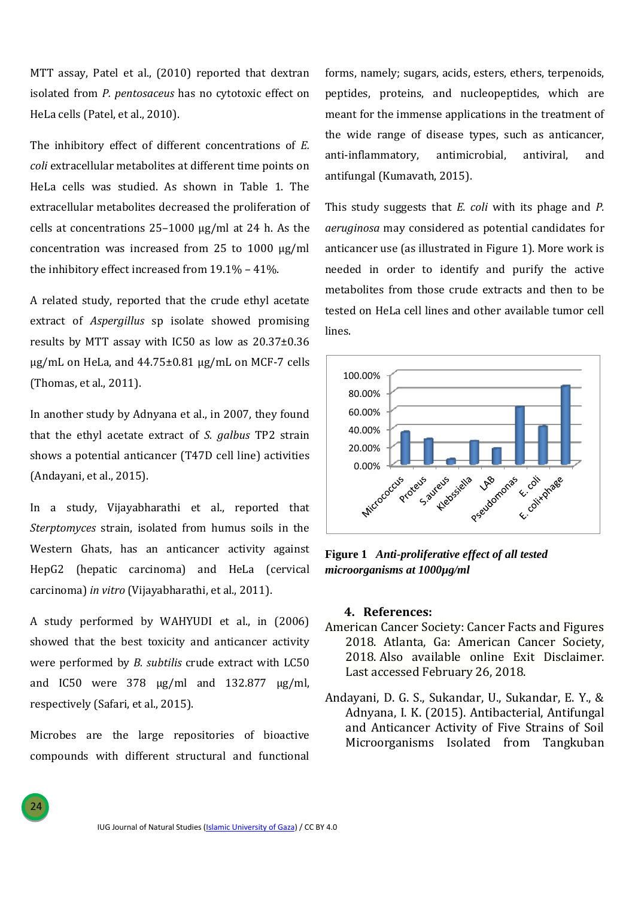MTT assay, Patel et al., (2010) reported that dextran isolated from *P. pentosaceus* has no cytotoxic effect on HeLa cells (Patel, et al., 2010).

The inhibitory effect of different concentrations of *E. coli* extracellular metabolites at different time points on HeLa cells was studied. As shown in Table 1. The extracellular metabolites decreased the proliferation of cells at concentrations 25–1000 μg/ml at 24 h. As the concentration was increased from 25 to 1000 μg/ml the inhibitory effect increased from 19.1% – 41%.

A related study, reported that the crude ethyl acetate extract of *Aspergillus* sp isolate showed promising results by MTT assay with IC50 as low as 20.37±0.36 μg/mL on HeLa, and  $44.75\pm0.81$  μg/mL on MCF-7 cells (Thomas, et al., 2011).

In another study by Adnyana et al., in 2007, they found that the ethyl acetate extract of *S. galbus* TP2 strain shows a potential anticancer (T47D cell line) activities (Andayani, et al., 2015).

In a study, Vijayabharathi et al., reported that *Sterptomyces* strain, isolated from humus soils in the Western Ghats, has an anticancer activity against HepG2 (hepatic carcinoma) and HeLa (cervical carcinoma) *in vitro* (Vijayabharathi, et al., 2011).

A study performed by WAHYUDI et al., in (2006) showed that the best toxicity and anticancer activity were performed by *B. subtilis* crude extract with LC50 and IC50 were 378 µg/ml and 132.877 µg/ml, respectively (Safari, et al., 2015).

Microbes are the large repositories of bioactive compounds with different structural and functional

24

forms, namely; sugars, acids, esters, ethers, terpenoids, peptides, proteins, and nucleopeptides, which are meant for the immense applications in the treatment of the wide range of disease types, such as anticancer, anti-inflammatory, antimicrobial, antiviral, and antifungal (Kumavath, 2015).

This study suggests that *E. coli* with its phage and *P. aeruginosa* may considered as potential candidates for anticancer use (as illustrated in Figure 1). More work is needed in order to identify and purify the active metabolites from those crude extracts and then to be tested on HeLa cell lines and other available tumor cell lines.



**Figure 1** *Anti-proliferative effect of all tested microorganisms at 1000µg/ml*

#### **4. References:**

- American Cancer Society: Cancer Facts and Figures 2018. Atlanta, Ga: American Cancer Society, 2018. Also [available](https://www.cancer.org/research/cancer-facts-statistics/all-cancer-facts-figures/cancer-facts-figures-2018.html) online Exit [Disclaimer.](https://www.cancer.gov/policies/linking) Last accessed February 26, 2018.
- Andayani, D. G. S., Sukandar, U., Sukandar, E. Y., & Adnyana, I. K. (2015). Antibacterial, Antifungal and Anticancer Activity of Five Strains of Soil Microorganisms Isolated from Tangkuban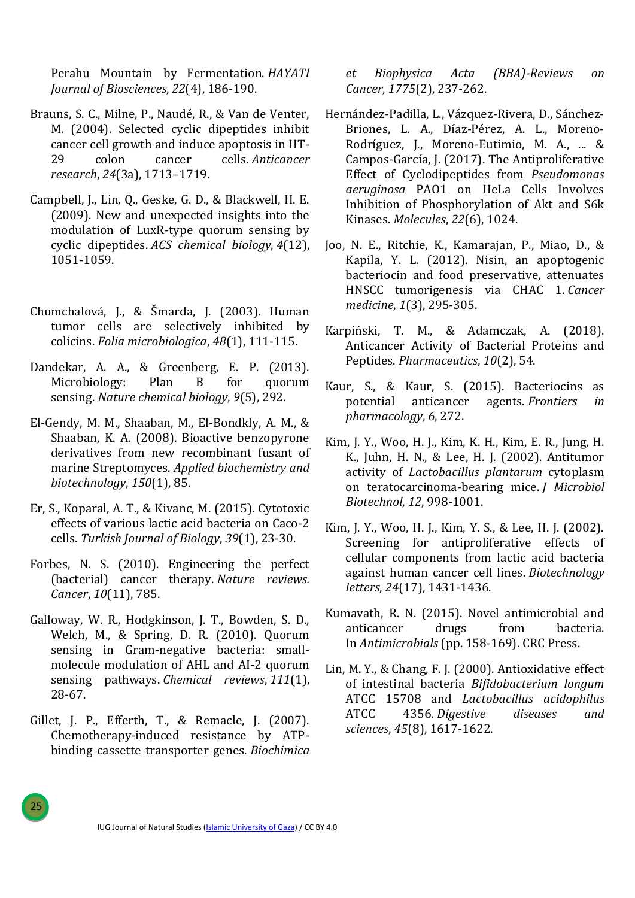Perahu Mountain by Fermentation. *HAYATI Journal of Biosciences*, *22*(4), 186-190.

- Brauns, S. C., Milne, P., Naudé, R., & Van de Venter, M. (2004). Selected cyclic dipeptides inhibit cancer cell growth and induce apoptosis in HT-29 colon cancer cells. *Anticancer research*, *24*(3a), 1713–1719.
- Campbell, J., Lin, Q., Geske, G. D., & Blackwell, H. E. (2009). New and unexpected insights into the modulation of LuxR-type quorum sensing by cyclic dipeptides. *ACS chemical biology*, *4*(12), 1051-1059.
- Chumchalová, J., & Šmarda, J. (2003). Human tumor cells are selectively inhibited by colicins. *Folia microbiologica*, *48*(1), 111-115.
- Dandekar, A. A., & Greenberg, E. P. (2013). Microbiology: Plan B for quorum sensing. *Nature chemical biology*, *9*(5), 292.
- El-Gendy, M. M., Shaaban, M., El-Bondkly, A. M., & Shaaban, K. A. (2008). Bioactive benzopyrone derivatives from new recombinant fusant of marine Streptomyces. *Applied biochemistry and biotechnology*, *150*(1), 85.
- Er, S., Koparal, A. T., & Kivanc, M. (2015). Cytotoxic effects of various lactic acid bacteria on Caco-2 cells. *Turkish Journal of Biology*, *39*(1), 23-30.
- Forbes, N. S. (2010). Engineering the perfect (bacterial) cancer therapy. *Nature reviews. Cancer*, *10*(11), 785.
- Galloway, W. R., Hodgkinson, J. T., Bowden, S. D., Welch, M., & Spring, D. R. (2010). Quorum sensing in Gram-negative bacteria: smallmolecule modulation of AHL and AI-2 quorum sensing pathways. *Chemical reviews*, *111*(1), 28-67.
- Gillet, J. P., Efferth, T., & Remacle, J. (2007). Chemotherapy-induced resistance by ATPbinding cassette transporter genes. *Biochimica*

25

*et Biophysica Acta (BBA)-Reviews on Cancer*, *1775*(2), 237-262.

- Hernández-Padilla, L., Vázquez-Rivera, D., Sánchez-Briones, L. A., Díaz-Pérez, A. L., Moreno-Rodríguez, J., Moreno-Eutimio, M. A., ... & Campos-García, J. (2017). The Antiproliferative Effect of Cyclodipeptides from *Pseudomonas aeruginosa* PAO1 on HeLa Cells Involves Inhibition of Phosphorylation of Akt and S6k Kinases. *Molecules*, *22*(6), 1024.
- Joo, N. E., Ritchie, K., Kamarajan, P., Miao, D., & Kapila, Y. L. (2012). Nisin, an apoptogenic bacteriocin and food preservative, attenuates HNSCC tumorigenesis via CHAC 1. *Cancer medicine*, *1*(3), 295-305.
- Karpiński, T. M., & Adamczak, A. (2018). Anticancer Activity of Bacterial Proteins and Peptides. *Pharmaceutics*, *10*(2), 54.
- Kaur, S., & Kaur, S. (2015). Bacteriocins as potential anticancer agents. *Frontiers in pharmacology*, *6*, 272.
- Kim, J. Y., Woo, H. J., Kim, K. H., Kim, E. R., Jung, H. K., Juhn, H. N., & Lee, H. J. (2002). Antitumor activity of *Lactobacillus plantarum* cytoplasm on teratocarcinoma-bearing mice. *J Microbiol Biotechnol*, *12*, 998-1001.
- Kim, J. Y., Woo, H. J., Kim, Y. S., & Lee, H. J. (2002). Screening for antiproliferative effects of cellular components from lactic acid bacteria against human cancer cell lines. *Biotechnology letters*, *24*(17), 1431-1436.
- Kumavath, R. N. (2015). Novel antimicrobial and anticancer drugs from bacteria. In *Antimicrobials* (pp. 158-169). CRC Press.
- Lin, M. Y., & Chang, F. J. (2000). Antioxidative effect of intestinal bacteria *Bifidobacterium longum* ATCC 15708 and *Lactobacillus acidophilus* ATCC 4356. *Digestive diseases and sciences*, *45*(8), 1617-1622.